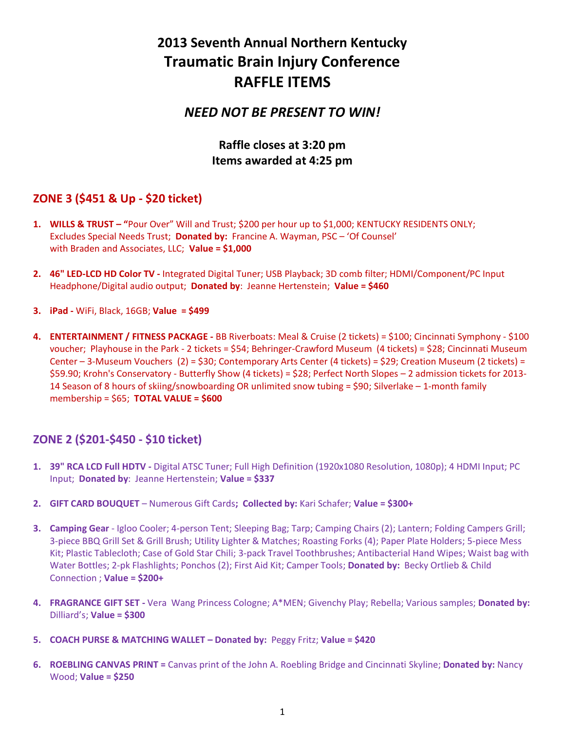# **2013 Seventh Annual Northern Kentucky Traumatic Brain Injury Conference RAFFLE ITEMS**

## *NEED NOT BE PRESENT TO WIN!*

### **Raffle closes at 3:20 pm Items awarded at 4:25 pm**

#### **ZONE 3 (\$451 & Up - \$20 ticket)**

- **1. WILLS & TRUST – "**Pour Over" Will and Trust; \$200 per hour up to \$1,000; KENTUCKY RESIDENTS ONLY; Excludes Special Needs Trust; **Donated by:** Francine A. Wayman, PSC – 'Of Counsel' with Braden and Associates, LLC; **Value = \$1,000**
- **2. 46" LED-LCD HD Color TV -** Integrated Digital Tuner; USB Playback; 3D comb filter; HDMI/Component/PC Input Headphone/Digital audio output; **Donated by**: Jeanne Hertenstein; **Value = \$460**
- **3. iPad -** WiFi, Black, 16GB; **Value = \$499**
- **4. ENTERTAINMENT / FITNESS PACKAGE -** BB Riverboats: Meal & Cruise (2 tickets) = \$100; Cincinnati Symphony \$100 voucher; Playhouse in the Park - 2 tickets = \$54; Behringer-Crawford Museum (4 tickets) = \$28; Cincinnati Museum Center – 3-Museum Vouchers (2) = \$30; Contemporary Arts Center (4 tickets) = \$29; Creation Museum (2 tickets) = \$59.90; Krohn's Conservatory - Butterfly Show (4 tickets) = \$28; Perfect North Slopes – 2 admission tickets for 2013- 14 Season of 8 hours of skiing/snowboarding OR unlimited snow tubing = \$90; Silverlake – 1-month family membership = \$65; **TOTAL VALUE = \$600**

#### **ZONE 2 (\$201-\$450 - \$10 ticket)**

- **1. 39" RCA LCD Full HDTV -** Digital ATSC Tuner; Full High Definition (1920x1080 Resolution, 1080p); 4 HDMI Input; PC Input; **Donated by**: Jeanne Hertenstein; **Value = \$337**
- **2. GIFT CARD BOUQUET** Numerous Gift Cards**; Collected by:** Kari Schafer; **Value = \$300+**
- **3. Camping Gear** Igloo Cooler; 4-person Tent; Sleeping Bag; Tarp; Camping Chairs (2); Lantern; Folding Campers Grill; 3-piece BBQ Grill Set & Grill Brush; Utility Lighter & Matches; Roasting Forks (4); Paper Plate Holders; 5-piece Mess Kit; Plastic Tablecloth; Case of Gold Star Chili; 3-pack Travel Toothbrushes; Antibacterial Hand Wipes; Waist bag with Water Bottles; 2-pk Flashlights; Ponchos (2); First Aid Kit; Camper Tools; **Donated by:** Becky Ortlieb & Child Connection ; **Value = \$200+**
- **4. FRAGRANCE GIFT SET -** Vera Wang Princess Cologne; A\*MEN; Givenchy Play; Rebella; Various samples; **Donated by:**  Dilliard's; **Value = \$300**
- **5. COACH PURSE & MATCHING WALLET – Donated by:** Peggy Fritz; **Value = \$420**
- **6. ROEBLING CANVAS PRINT =** Canvas print of the John A. Roebling Bridge and Cincinnati Skyline; **Donated by:** Nancy Wood; **Value = \$250**